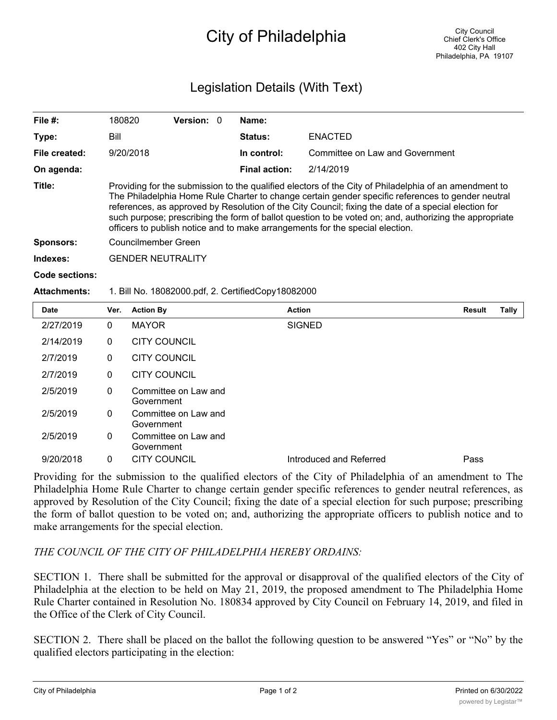## City of Philadelphia

## Legislation Details (With Text)

| File $#$ :          | 180820                                                                                                                                                                                                                                                                                                                                                                                                                                                                                                        | <b>Version: 0</b> |  | Name:                |                                 |               |       |  |  |
|---------------------|---------------------------------------------------------------------------------------------------------------------------------------------------------------------------------------------------------------------------------------------------------------------------------------------------------------------------------------------------------------------------------------------------------------------------------------------------------------------------------------------------------------|-------------------|--|----------------------|---------------------------------|---------------|-------|--|--|
| Type:               | Bill                                                                                                                                                                                                                                                                                                                                                                                                                                                                                                          |                   |  | Status:              | <b>ENACTED</b>                  |               |       |  |  |
| File created:       | 9/20/2018                                                                                                                                                                                                                                                                                                                                                                                                                                                                                                     |                   |  | In control:          | Committee on Law and Government |               |       |  |  |
| On agenda:          |                                                                                                                                                                                                                                                                                                                                                                                                                                                                                                               |                   |  | <b>Final action:</b> | 2/14/2019                       |               |       |  |  |
| Title:              | Providing for the submission to the qualified electors of the City of Philadelphia of an amendment to<br>The Philadelphia Home Rule Charter to change certain gender specific references to gender neutral<br>references, as approved by Resolution of the City Council; fixing the date of a special election for<br>such purpose; prescribing the form of ballot question to be voted on; and, authorizing the appropriate<br>officers to publish notice and to make arrangements for the special election. |                   |  |                      |                                 |               |       |  |  |
| <b>Sponsors:</b>    | Councilmember Green                                                                                                                                                                                                                                                                                                                                                                                                                                                                                           |                   |  |                      |                                 |               |       |  |  |
| Indexes:            | <b>GENDER NEUTRALITY</b>                                                                                                                                                                                                                                                                                                                                                                                                                                                                                      |                   |  |                      |                                 |               |       |  |  |
| Code sections:      |                                                                                                                                                                                                                                                                                                                                                                                                                                                                                                               |                   |  |                      |                                 |               |       |  |  |
| <b>Attachments:</b> | 1. Bill No. 18082000.pdf, 2. CertifiedCopy18082000                                                                                                                                                                                                                                                                                                                                                                                                                                                            |                   |  |                      |                                 |               |       |  |  |
| <b>Date</b>         | <b>Action By</b><br>Ver.                                                                                                                                                                                                                                                                                                                                                                                                                                                                                      |                   |  | <b>Action</b>        |                                 | <b>Result</b> | Tally |  |  |

| <b>Date</b> | Ver.         | <b>Action By</b>                   | <b>Action</b>           | <b>Result</b> | Tally |
|-------------|--------------|------------------------------------|-------------------------|---------------|-------|
| 2/27/2019   | $\mathbf{0}$ | <b>MAYOR</b>                       | <b>SIGNED</b>           |               |       |
| 2/14/2019   | 0            | <b>CITY COUNCIL</b>                |                         |               |       |
| 2/7/2019    | 0            | <b>CITY COUNCIL</b>                |                         |               |       |
| 2/7/2019    | 0            | <b>CITY COUNCIL</b>                |                         |               |       |
| 2/5/2019    | 0            | Committee on Law and<br>Government |                         |               |       |
| 2/5/2019    | 0            | Committee on Law and<br>Government |                         |               |       |
| 2/5/2019    | $\mathbf{0}$ | Committee on Law and<br>Government |                         |               |       |
| 9/20/2018   | 0            | <b>CITY COUNCIL</b>                | Introduced and Referred | Pass          |       |

Providing for the submission to the qualified electors of the City of Philadelphia of an amendment to The Philadelphia Home Rule Charter to change certain gender specific references to gender neutral references, as approved by Resolution of the City Council; fixing the date of a special election for such purpose; prescribing the form of ballot question to be voted on; and, authorizing the appropriate officers to publish notice and to make arrangements for the special election.

## *THE COUNCIL OF THE CITY OF PHILADELPHIA HEREBY ORDAINS:*

SECTION 1. There shall be submitted for the approval or disapproval of the qualified electors of the City of Philadelphia at the election to be held on May 21, 2019, the proposed amendment to The Philadelphia Home Rule Charter contained in Resolution No. 180834 approved by City Council on February 14, 2019, and filed in the Office of the Clerk of City Council.

SECTION 2. There shall be placed on the ballot the following question to be answered "Yes" or "No" by the qualified electors participating in the election:

Shall The Philadelphia Home Rule Charter be amended to change certain gender specific references